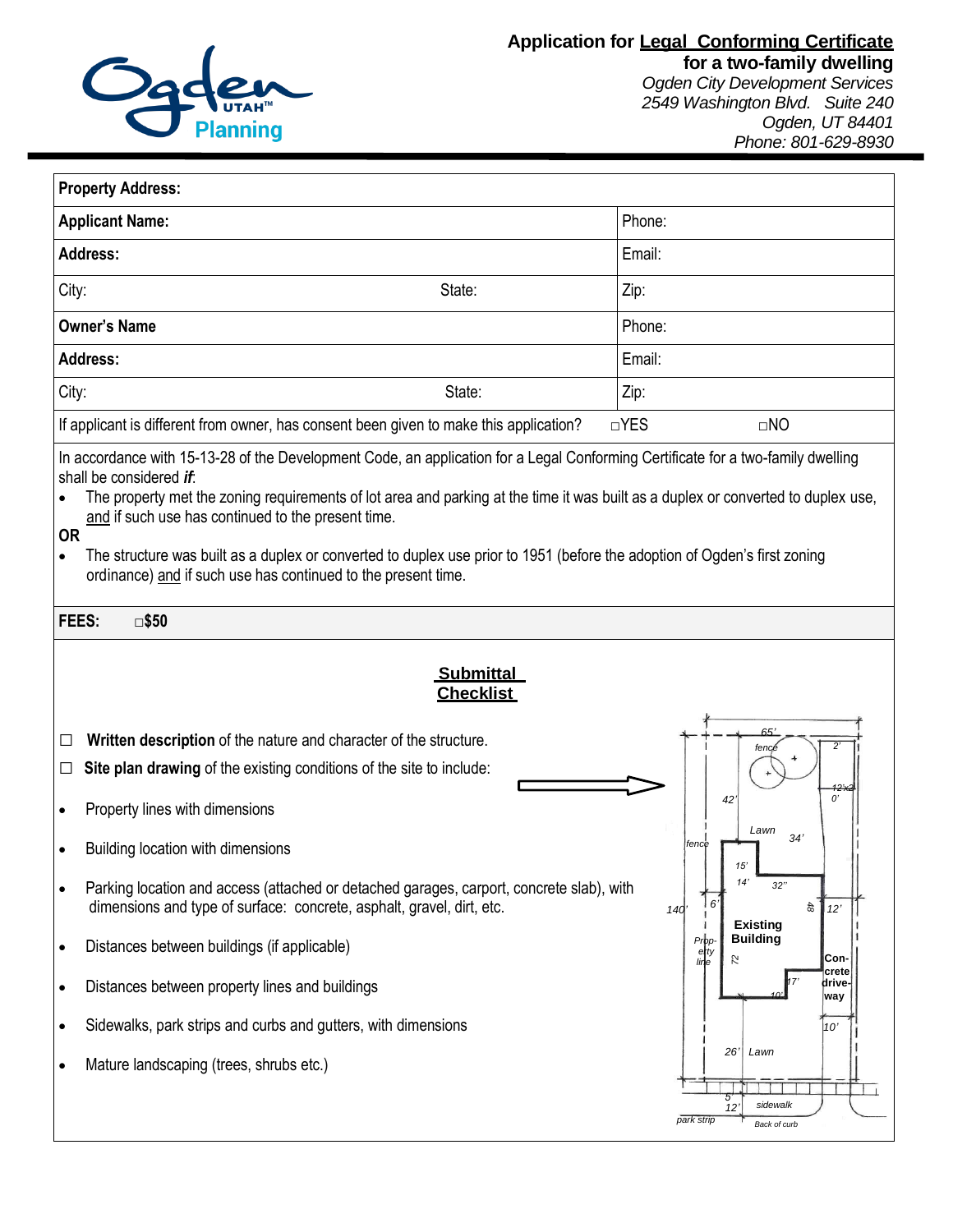

*2549 Washington Blvd. Suite 240 Ogden, UT 84401 Phone: 801-629-8930*

| <b>Property Address:</b>                                                                                                                                                                                                                                                                                                                                                                                                                                                                                                                                                       |                                                                                                                                                                   |                                                                          |
|--------------------------------------------------------------------------------------------------------------------------------------------------------------------------------------------------------------------------------------------------------------------------------------------------------------------------------------------------------------------------------------------------------------------------------------------------------------------------------------------------------------------------------------------------------------------------------|-------------------------------------------------------------------------------------------------------------------------------------------------------------------|--------------------------------------------------------------------------|
| <b>Applicant Name:</b>                                                                                                                                                                                                                                                                                                                                                                                                                                                                                                                                                         |                                                                                                                                                                   | Phone:                                                                   |
| <b>Address:</b>                                                                                                                                                                                                                                                                                                                                                                                                                                                                                                                                                                |                                                                                                                                                                   | Email:                                                                   |
| City:                                                                                                                                                                                                                                                                                                                                                                                                                                                                                                                                                                          | State:                                                                                                                                                            | Zip:                                                                     |
| <b>Owner's Name</b>                                                                                                                                                                                                                                                                                                                                                                                                                                                                                                                                                            |                                                                                                                                                                   | Phone:                                                                   |
| <b>Address:</b>                                                                                                                                                                                                                                                                                                                                                                                                                                                                                                                                                                |                                                                                                                                                                   | Email:                                                                   |
| City:                                                                                                                                                                                                                                                                                                                                                                                                                                                                                                                                                                          | State:                                                                                                                                                            | Zip:                                                                     |
|                                                                                                                                                                                                                                                                                                                                                                                                                                                                                                                                                                                | If applicant is different from owner, has consent been given to make this application?                                                                            | $\Box$ YES<br>$\Box$ NO                                                  |
| In accordance with 15-13-28 of the Development Code, an application for a Legal Conforming Certificate for a two-family dwelling<br>shall be considered if:<br>The property met the zoning requirements of lot area and parking at the time it was built as a duplex or converted to duplex use,<br>and if such use has continued to the present time.<br><b>OR</b><br>The structure was built as a duplex or converted to duplex use prior to 1951 (before the adoption of Ogden's first zoning<br>$\bullet$<br>ordinance) and if such use has continued to the present time. |                                                                                                                                                                   |                                                                          |
| FEES:<br>$\square$ \$50                                                                                                                                                                                                                                                                                                                                                                                                                                                                                                                                                        |                                                                                                                                                                   |                                                                          |
| <b>Submittal</b><br><b>Checklist</b><br>Written description of the nature and character of the structure.<br>ப                                                                                                                                                                                                                                                                                                                                                                                                                                                                 |                                                                                                                                                                   |                                                                          |
| $\Box$                                                                                                                                                                                                                                                                                                                                                                                                                                                                                                                                                                         | Site plan drawing of the existing conditions of the site to include:                                                                                              | 2<br>fence<br>12'n                                                       |
|                                                                                                                                                                                                                                                                                                                                                                                                                                                                                                                                                                                | Property lines with dimensions                                                                                                                                    | 0'<br>42<br>Lawn                                                         |
|                                                                                                                                                                                                                                                                                                                                                                                                                                                                                                                                                                                | Building location with dimensions                                                                                                                                 | 34'<br>fence<br>15'                                                      |
| $\bullet$                                                                                                                                                                                                                                                                                                                                                                                                                                                                                                                                                                      | Parking location and access (attached or detached garages, carport, concrete slab), with<br>dimensions and type of surface: concrete, asphalt, gravel, dirt, etc. | 14'<br>32"<br>6'<br>48<br>12'<br>140<br><b>Existing</b>                  |
| $\bullet$                                                                                                                                                                                                                                                                                                                                                                                                                                                                                                                                                                      | Distances between buildings (if applicable)                                                                                                                       | <b>Building</b><br>Prpp-<br>erty<br>line<br>Con-<br>S.                   |
| $\bullet$                                                                                                                                                                                                                                                                                                                                                                                                                                                                                                                                                                      | Distances between property lines and buildings                                                                                                                    | crete∣<br>drive-<br>way                                                  |
| $\bullet$                                                                                                                                                                                                                                                                                                                                                                                                                                                                                                                                                                      | Sidewalks, park strips and curbs and gutters, with dimensions                                                                                                     | 10'                                                                      |
| $\bullet$                                                                                                                                                                                                                                                                                                                                                                                                                                                                                                                                                                      | Mature landscaping (trees, shrubs etc.)                                                                                                                           | 26'<br>Lawn<br>sidewalk<br>12 <sup>1</sup><br>park strip<br>Back of curb |

*(continued on back)* **<sup>1000</sup> Sunset Street**